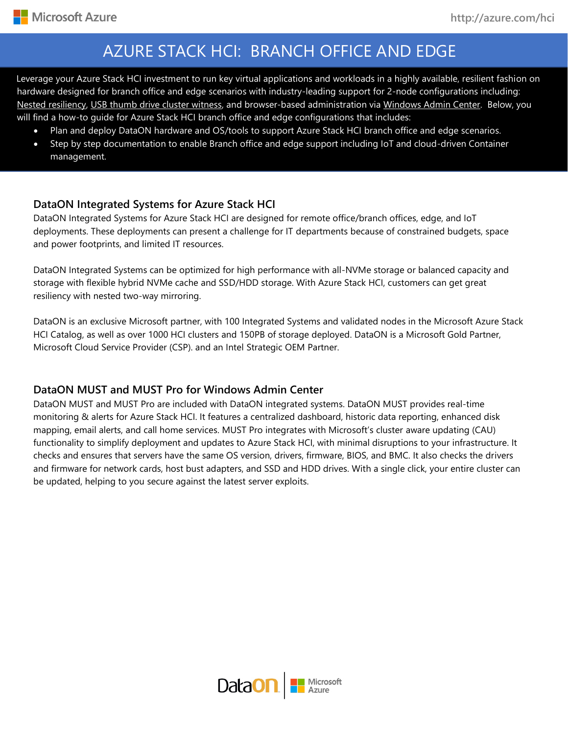-

# AZURE STACK HCI: BRANCH OFFICE AND EDGE

su hardware designed for branch office and edge scenarios with industry-leading support for 2-node configurations including: Leverage your Azure Stack HCI investment to run key virtual applications and workloads in a highly available, resilient fashion on [Nested resiliency,](https://docs.microsoft.com/en-us/windows-server/storage/storage-spaces/nested-resiliency) [USB thumb drive cluster witness,](https://docs.microsoft.com/en-us/windows-server/failover-clustering/file-share-witness) and browser-based administration via [Windows Admin Center.](https://docs.microsoft.com/en-us/windows-server/manage/windows-admin-center/understand/windows-admin-center) Below, you will find a how-to guide for Azure Stack HCI branch office and edge configurations that includes:

- Plan and deploy DataON hardware and OS/tools to support Azure Stack HCI branch office and edge scenarios.
- Step by step documentation to enable Branch office and edge support including IoT and cloud-driven Container management.

#### **DataON Integrated Systems for Azure Stack HCI**

DataON Integrated Systems for Azure Stack HCI are designed for remote office/branch offices, edge, and IoT deployments. These deployments can present a challenge for IT departments because of constrained budgets, space and power footprints, and limited IT resources.

DataON Integrated Systems can be optimized for high performance with all-NVMe storage or balanced capacity and storage with flexible hybrid NVMe cache and SSD/HDD storage. With Azure Stack HCI, customers can get great resiliency with nested two-way mirroring.

DataON is an exclusive Microsoft partner, with 100 Integrated Systems and validated nodes in the Microsoft Azure Stack HCI Catalog, as well as over 1000 HCI clusters and 150PB of storage deployed. DataON is a Microsoft Gold Partner, Microsoft Cloud Service Provider (CSP). and an Intel Strategic OEM Partner.

### **DataON MUST and MUST Pro for Windows Admin Center**

DataON MUST and MUST Pro are included with DataON integrated systems. DataON MUST provides real-time monitoring & alerts for Azure Stack HCI. It features a centralized dashboard, historic data reporting, enhanced disk mapping, email alerts, and call home services. MUST Pro integrates with Microsoft's cluster aware updating (CAU) functionality to simplify deployment and updates to Azure Stack HCI, with minimal disruptions to your infrastructure. It checks and ensures that servers have the same OS version, drivers, firmware, BIOS, and BMC. It also checks the drivers and firmware for network cards, host bust adapters, and SSD and HDD drives. With a single click, your entire cluster can be updated, helping to you secure against the latest server exploits.

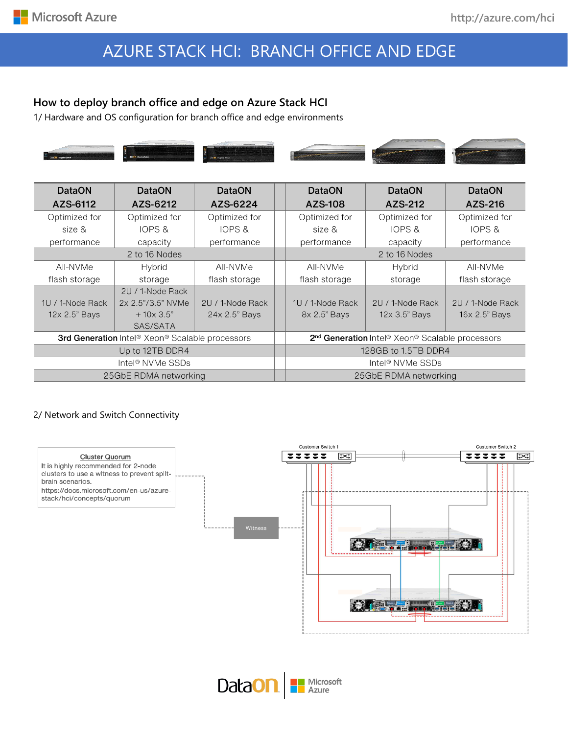# AZURE STACK HCI: BRANCH OFFICE AND EDGE

### **How to deploy branch office and edge on Azure Stack HCI**

1/ Hardware and OS configuration for branch office and edge environments



| <b>DataON</b>                                   | <b>DataON</b>     | <b>DataON</b>    | <b>DataON</b>                                                                       | <b>DataON</b>    | <b>DataON</b>    |
|-------------------------------------------------|-------------------|------------------|-------------------------------------------------------------------------------------|------------------|------------------|
| AZS-6112                                        | AZS-6212          | AZS-6224         | AZS-108                                                                             | AZS-212          | AZS-216          |
| Optimized for                                   | Optimized for     | Optimized for    | Optimized for                                                                       | Optimized for    | Optimized for    |
| size &                                          | IOPS &            | IOPS &           | size &                                                                              | IOPS &           | IOPS &           |
| performance                                     | capacity          | performance      | performance                                                                         | capacity         | performance      |
| 2 to 16 Nodes                                   |                   |                  | 2 to 16 Nodes                                                                       |                  |                  |
| AII-NVMe                                        | Hybrid            | AII-NVMe         | All-NVMe                                                                            | Hybrid           | All-NVMe         |
| flash storage                                   | storage           | flash storage    | flash storage                                                                       | storage          | flash storage    |
|                                                 | 2U / 1-Node Rack  |                  |                                                                                     |                  |                  |
| 1U / 1-Node Rack                                | 2x 2.5"/3.5" NVMe | 2U / 1-Node Rack | 1U / 1-Node Rack                                                                    | 2U / 1-Node Rack | 2U / 1-Node Rack |
| 12x 2.5" Bays                                   | $+10\times3.5"$   | 24x 2.5" Bays    | 8x 2.5" Bays                                                                        | 12x 3.5" Bays    | 16x 2.5" Bays    |
|                                                 | SAS/SATA          |                  |                                                                                     |                  |                  |
| 3rd Generation Intel® Xeon® Scalable processors |                   |                  | 2 <sup>nd</sup> Generation Intel <sup>®</sup> Xeon <sup>®</sup> Scalable processors |                  |                  |
| Up to 12TB DDR4                                 |                   |                  | 128GB to 1.5TB DDR4                                                                 |                  |                  |
| Intel <sup>®</sup> NVMe SSDs                    |                   |                  | Intel <sup>®</sup> NVMe SSDs                                                        |                  |                  |
| 25GbE RDMA networking                           |                   |                  | 25GbE RDMA networking                                                               |                  |                  |

#### 2/ Network and Switch Connectivity



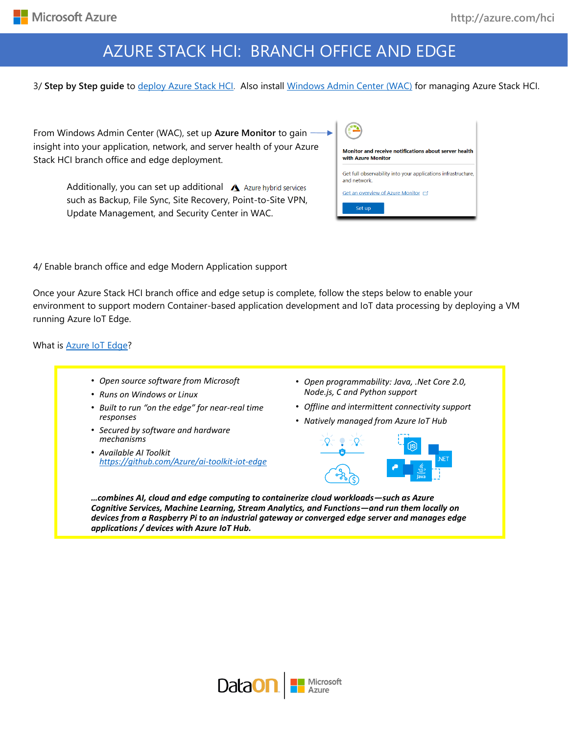# AZURE STACK HCI: BRANCH OFFICE AND EDGE

3/ **Step by Step guide** to [deploy Azure Stack HCI.](https://docs.microsoft.com/azure-stack/hci/) Also install [Windows Admin Center \(WAC\)](https://aka.ms/windowsadmincenter) for managing Azure Stack HCI.

From Windows Admin Center (WAC), set up **Azure Monitor** to gain insight into your application, network, and server health of your Azure Stack HCI branch office and edge deployment.

> Additionally, you can set up additional  $\triangle$  Azure hybrid services such as Backup, File Sync, Site Recovery, Point-to-Site VPN, Update Management, and Security Center in WAC.

| Monitor and receive notifications about server health<br>with Azure Monitor  |  |  |  |
|------------------------------------------------------------------------------|--|--|--|
| Get full observability into your applications infrastructure,<br>and network |  |  |  |
| Get an overview of Azure Monitor ⊏                                           |  |  |  |
| Set up                                                                       |  |  |  |

4/ Enable branch office and edge Modern Application support

Once your Azure Stack HCI branch office and edge setup is complete, follow the steps below to enable your environment to support modern Container-based application development and IoT data processing by deploying a VM running Azure IoT Edge.

What is **Azure IoT Edge?** 

- *Open source software from Microsoft*
- *Runs on Windows or Linux*
- *Built to run "on the edge" for near-real time responses*
- *Secured by software and hardware mechanisms*
- *Available AI Toolkit https://github.com/Azure/ai-toolkit-iot-edge*
- *Open programmability: Java, .Net Core 2.0, Node.js, C and Python support*
- *Offline and intermittent connectivity support*
- *Natively managed from Azure IoT Hub*



*…combines AI, cloud and edge computing to containerize cloud workloads—such as Azure Cognitive Services, Machine Learning, Stream Analytics, and Functions—and run them locally on devices from a Raspberry Pi to an industrial gateway or converged edge server and manages edge applications / devices with Azure IoT Hub.*